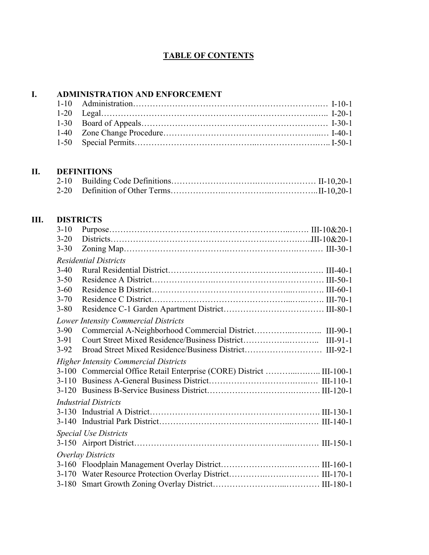### **TABLE OF CONTENTS**

# **I. ADMINISTRATION AND ENFORCEMENT**

#### **II. DEFINITIONS**

### **III. DISTRICTS**

| $3-10$                       |                                                                      |  |  |
|------------------------------|----------------------------------------------------------------------|--|--|
| $3 - 20$                     |                                                                      |  |  |
| $3 - 30$                     |                                                                      |  |  |
|                              | <b>Residential Districts</b>                                         |  |  |
| $3-40$                       |                                                                      |  |  |
| $3 - 50$                     |                                                                      |  |  |
| $3 - 60$                     |                                                                      |  |  |
| $3 - 70$                     |                                                                      |  |  |
| $3 - 80$                     |                                                                      |  |  |
|                              | <b>Lower Intensity Commercial Districts</b>                          |  |  |
| $3-90$                       |                                                                      |  |  |
| $3-91$                       |                                                                      |  |  |
| $3-92$                       |                                                                      |  |  |
|                              | <b>Higher Intensity Commercial Districts</b>                         |  |  |
|                              | 3-100 Commercial Office Retail Enterprise (CORE) District  III-100-1 |  |  |
|                              |                                                                      |  |  |
|                              |                                                                      |  |  |
| <b>Industrial Districts</b>  |                                                                      |  |  |
|                              |                                                                      |  |  |
|                              |                                                                      |  |  |
| <b>Special Use Districts</b> |                                                                      |  |  |
|                              |                                                                      |  |  |
|                              | Overlay Districts                                                    |  |  |
|                              |                                                                      |  |  |
|                              |                                                                      |  |  |
|                              |                                                                      |  |  |
|                              |                                                                      |  |  |